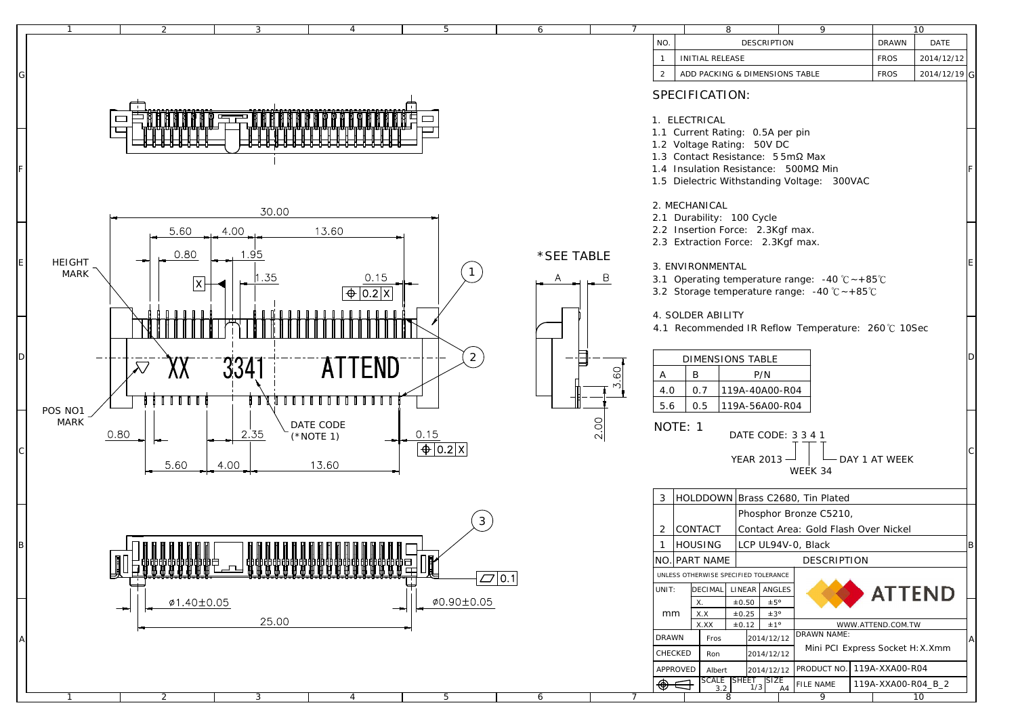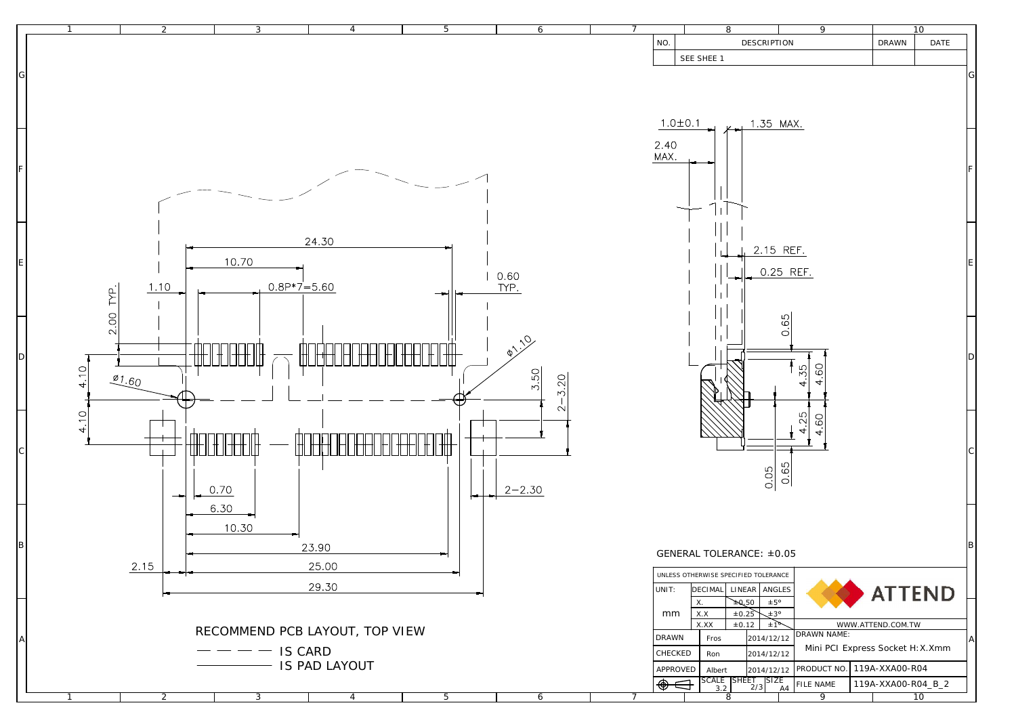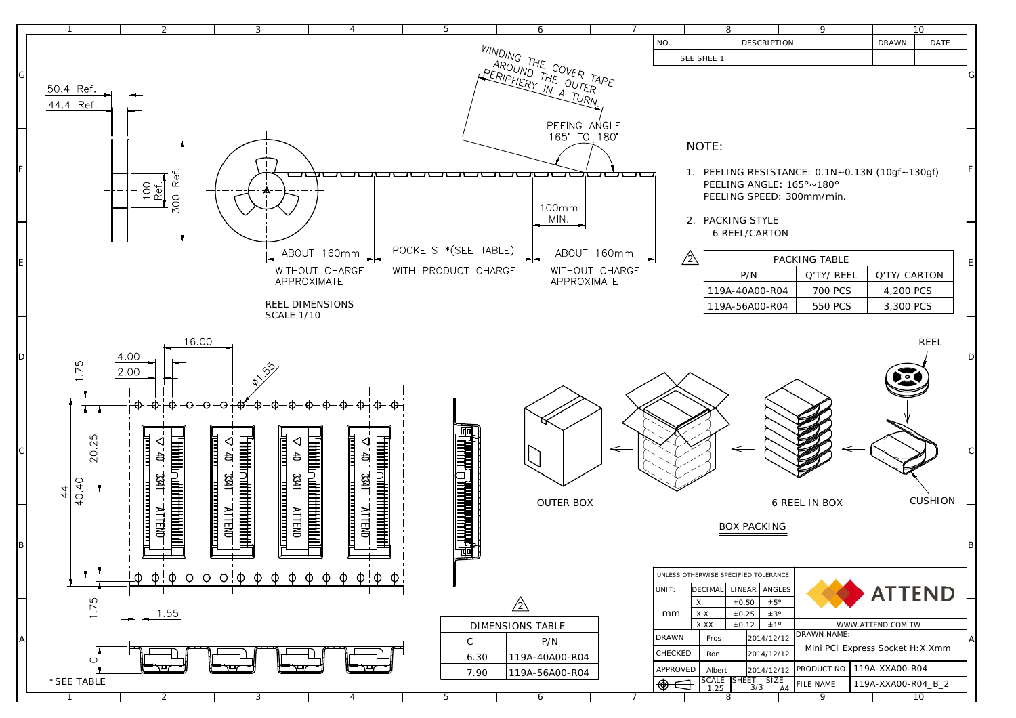![](_page_2_Figure_0.jpeg)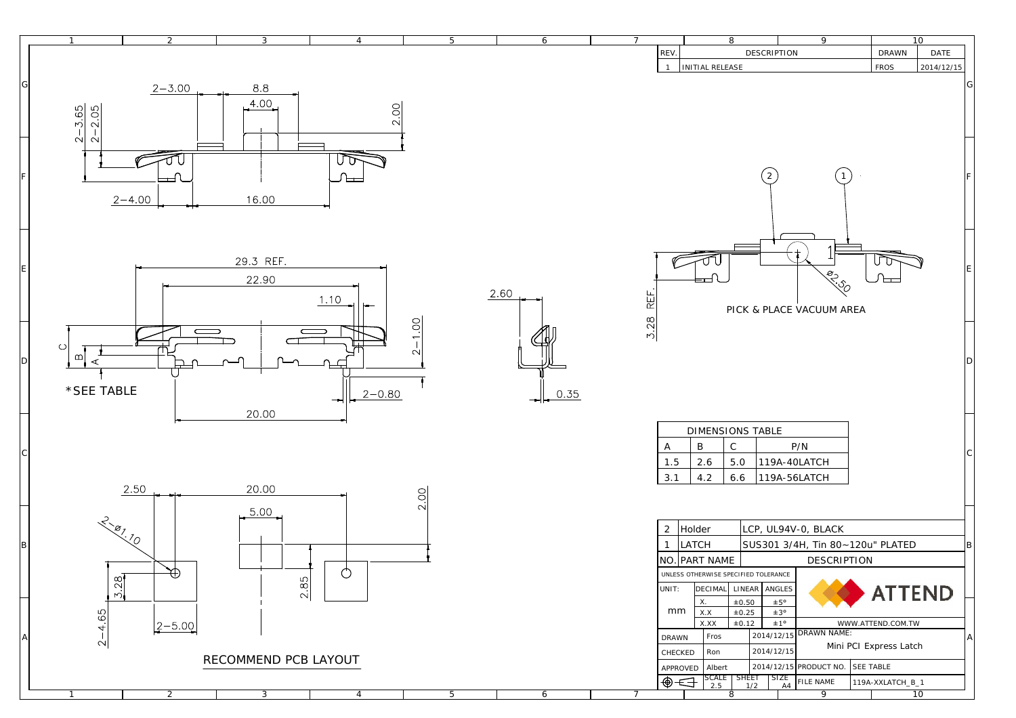![](_page_3_Figure_0.jpeg)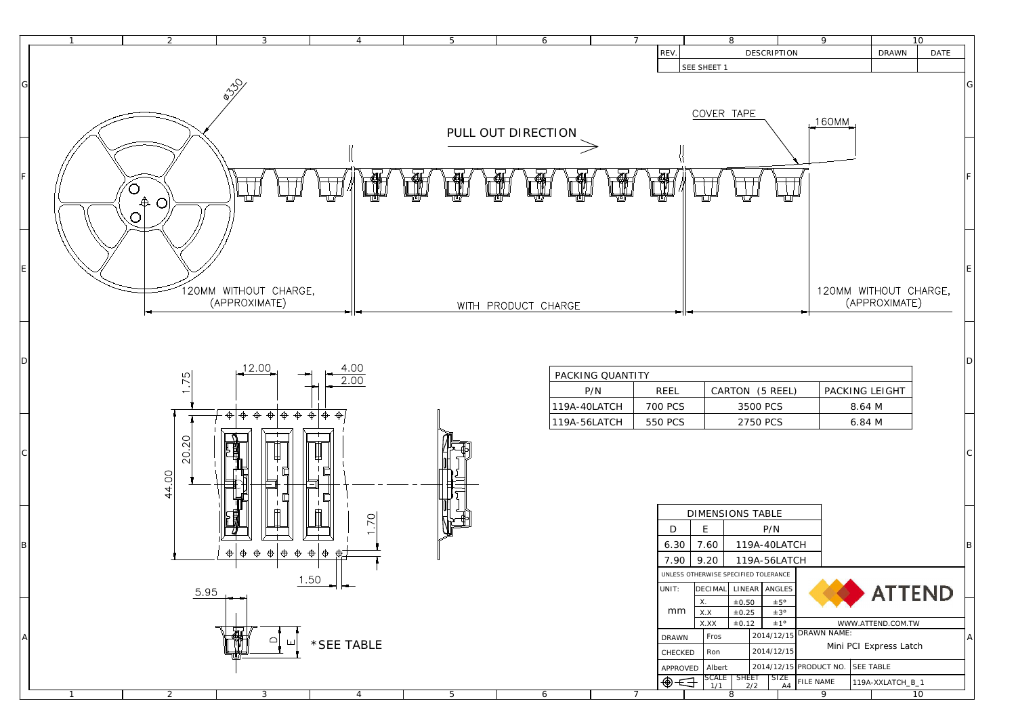![](_page_4_Figure_0.jpeg)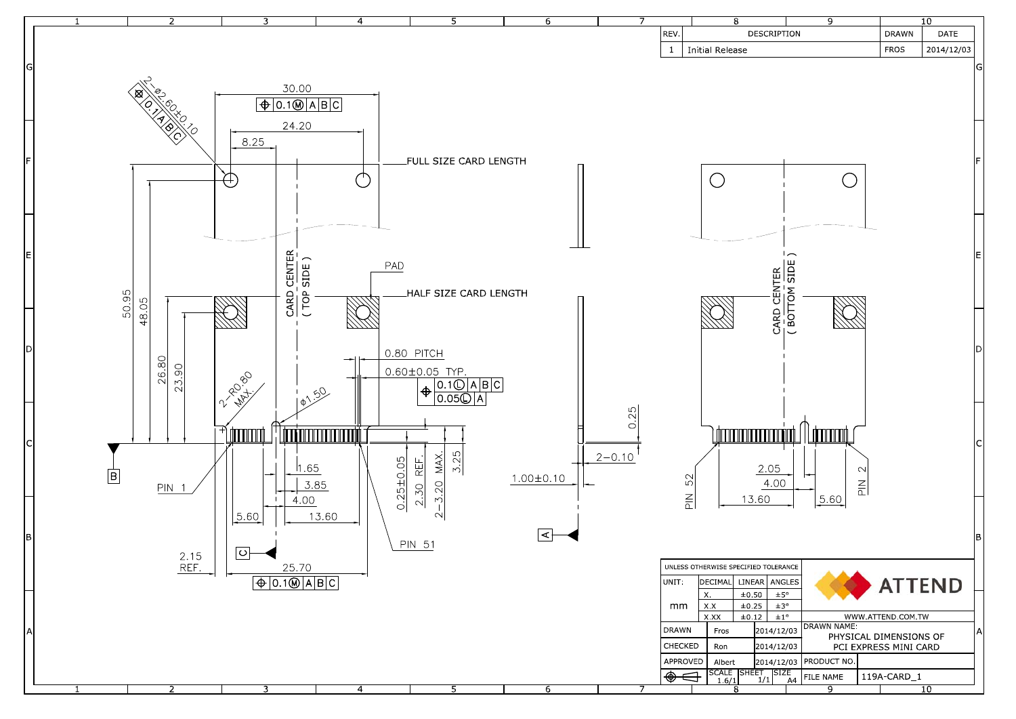![](_page_5_Figure_0.jpeg)